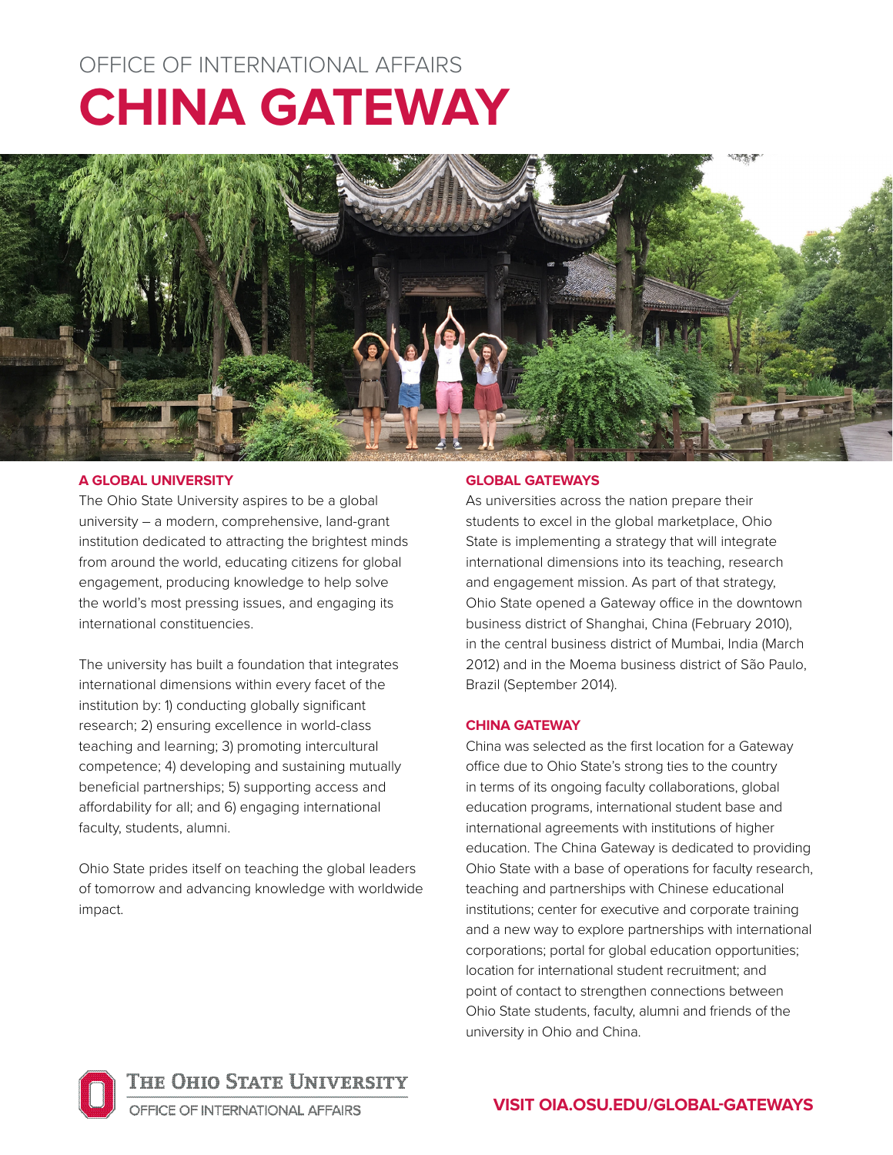# OFFICE OF INTERNATIONAL AFFAIRS **CHINA GATEWAY**



## **A GLOBAL UNIVERSITY**

The Ohio State University aspires to be a global university – a modern, comprehensive, land-grant institution dedicated to attracting the brightest minds from around the world, educating citizens for global engagement, producing knowledge to help solve the world's most pressing issues, and engaging its international constituencies.

The university has built a foundation that integrates international dimensions within every facet of the institution by: 1) conducting globally significant research; 2) ensuring excellence in world-class teaching and learning; 3) promoting intercultural competence; 4) developing and sustaining mutually beneficial partnerships; 5) supporting access and affordability for all; and 6) engaging international faculty, students, alumni.

Ohio State prides itself on teaching the global leaders of tomorrow and advancing knowledge with worldwide impact.

## **GLOBAL GATEWAYS**

As universities across the nation prepare their students to excel in the global marketplace, Ohio State is implementing a strategy that will integrate international dimensions into its teaching, research and engagement mission. As part of that strategy, Ohio State opened a Gateway office in the downtown business district of Shanghai, China (February 2010), in the central business district of Mumbai, India (March 2012) and in the Moema business district of São Paulo, Brazil (September 2014).

## **CHINA GATEWAY**

China was selected as the first location for a Gateway office due to Ohio State's strong ties to the country in terms of its ongoing faculty collaborations, global education programs, international student base and international agreements with institutions of higher education. The China Gateway is dedicated to providing Ohio State with a base of operations for faculty research, teaching and partnerships with Chinese educational institutions; center for executive and corporate training and a new way to explore partnerships with international corporations; portal for global education opportunities; location for international student recruitment; and point of contact to strengthen connections between Ohio State students, faculty, alumni and friends of the university in Ohio and China.



THE OHIO STATE UNIVERSITY

OFFICE OF INTERNATIONAL AFFAIRS

# **VISIT [OIA.OSU.EDU/GLOBAL-GATEWAYS](http://oia.osu.edu/Global-gateways )**